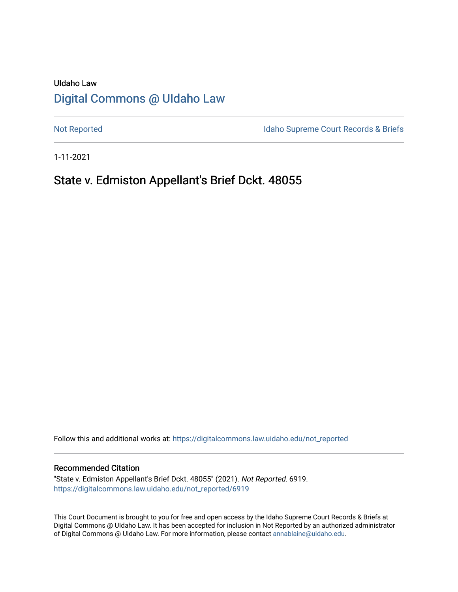# UIdaho Law [Digital Commons @ UIdaho Law](https://digitalcommons.law.uidaho.edu/)

[Not Reported](https://digitalcommons.law.uidaho.edu/not_reported) **Idaho Supreme Court Records & Briefs** 

1-11-2021

# State v. Edmiston Appellant's Brief Dckt. 48055

Follow this and additional works at: [https://digitalcommons.law.uidaho.edu/not\\_reported](https://digitalcommons.law.uidaho.edu/not_reported?utm_source=digitalcommons.law.uidaho.edu%2Fnot_reported%2F6919&utm_medium=PDF&utm_campaign=PDFCoverPages) 

#### Recommended Citation

"State v. Edmiston Appellant's Brief Dckt. 48055" (2021). Not Reported. 6919. [https://digitalcommons.law.uidaho.edu/not\\_reported/6919](https://digitalcommons.law.uidaho.edu/not_reported/6919?utm_source=digitalcommons.law.uidaho.edu%2Fnot_reported%2F6919&utm_medium=PDF&utm_campaign=PDFCoverPages)

This Court Document is brought to you for free and open access by the Idaho Supreme Court Records & Briefs at Digital Commons @ UIdaho Law. It has been accepted for inclusion in Not Reported by an authorized administrator of Digital Commons @ UIdaho Law. For more information, please contact [annablaine@uidaho.edu](mailto:annablaine@uidaho.edu).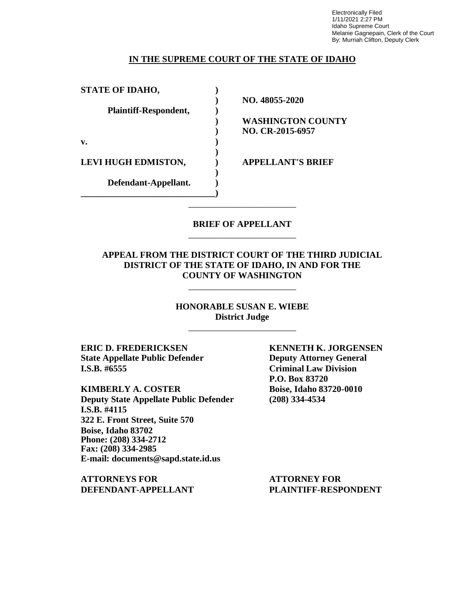Electronically Filed 1/11/2021 2:27 PM Idaho Supreme Court Melanie Gagnepain, Clerk of the Court By: Murriah Clifton, Deputy Clerk

### **IN THE SUPREME COURT OF THE STATE OF IDAHO**

| <b>STATE OF IDAHO,</b>     |                          |
|----------------------------|--------------------------|
|                            | NO. 48055-2020           |
| Plaintiff-Respondent,      |                          |
|                            | <b>WASHINGTON COUNTY</b> |
|                            | NO. CR-2015-6957         |
| v.                         |                          |
| <b>LEVI HUGH EDMISTON,</b> | <b>APPELLANT'S BRIEF</b> |
| Defendant-Appellant.       |                          |
|                            |                          |
|                            |                          |

## **BRIEF OF APPELLANT** \_\_\_\_\_\_\_\_\_\_\_\_\_\_\_\_\_\_\_\_\_\_\_\_

## **APPEAL FROM THE DISTRICT COURT OF THE THIRD JUDICIAL DISTRICT OF THE STATE OF IDAHO, IN AND FOR THE COUNTY OF WASHINGTON**

\_\_\_\_\_\_\_\_\_\_\_\_\_\_\_\_\_\_\_\_\_\_\_\_

**HONORABLE SUSAN E. WIEBE District Judge** \_\_\_\_\_\_\_\_\_\_\_\_\_\_\_\_\_\_\_\_\_\_\_\_

**ERIC D. FREDERICKSEN KENNETH K. JORGENSEN State Appellate Public Defender Deputy Attorney General I.S.B. #6555 Criminal Law Division**

**KIMBERLY A. COSTER Boise, Idaho 83720-0010 Deputy State Appellate Public Defender (208) 334-4534 I.S.B. #4115 322 E. Front Street, Suite 570 Boise, Idaho 83702 Phone: (208) 334-2712 Fax: (208) 334-2985 E-mail: documents@sapd.state.id.us**

**ATTORNEYS FOR ATTORNEY FOR DEFENDANT-APPELLANT PLAINTIFF-RESPONDENT**

**P.O. Box 83720**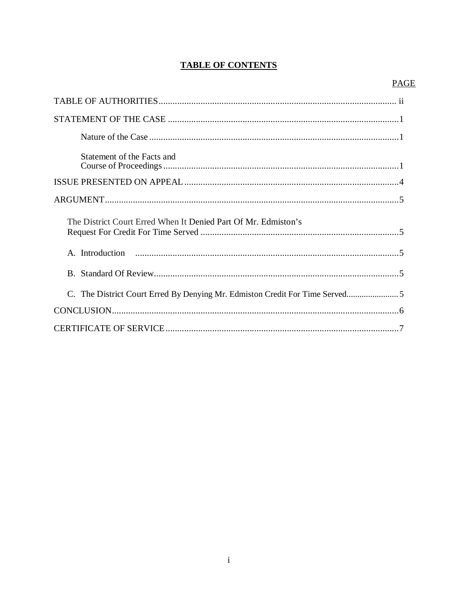# **TABLE OF CONTENTS**

# **PAGE**

| Statement of the Facts and                                     |
|----------------------------------------------------------------|
|                                                                |
|                                                                |
| The District Court Erred When It Denied Part Of Mr. Edmiston's |
|                                                                |
|                                                                |
|                                                                |
|                                                                |
|                                                                |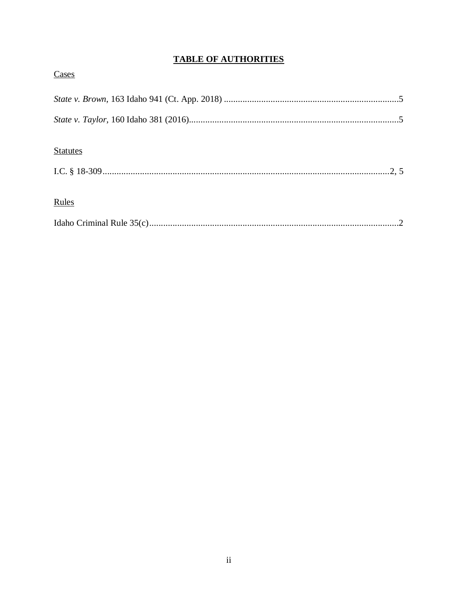# **TABLE OF AUTHORITIES**

| Cases           |  |
|-----------------|--|
|                 |  |
|                 |  |
| <b>Statutes</b> |  |
| Rules           |  |
|                 |  |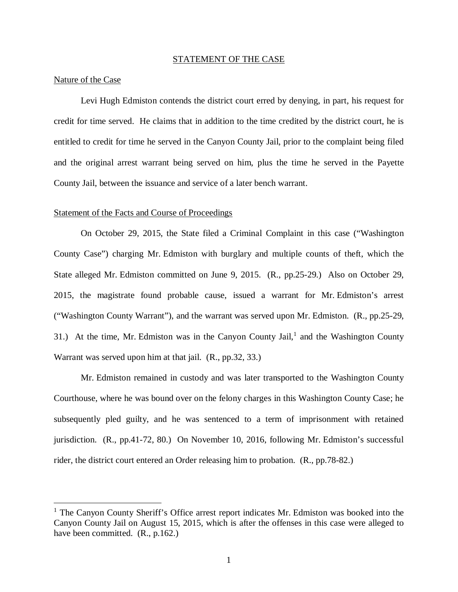#### STATEMENT OF THE CASE

#### Nature of the Case

Levi Hugh Edmiston contends the district court erred by denying, in part, his request for credit for time served. He claims that in addition to the time credited by the district court, he is entitled to credit for time he served in the Canyon County Jail, prior to the complaint being filed and the original arrest warrant being served on him, plus the time he served in the Payette County Jail, between the issuance and service of a later bench warrant.

#### Statement of the Facts and Course of Proceedings

On October 29, 2015, the State filed a Criminal Complaint in this case ("Washington County Case") charging Mr. Edmiston with burglary and multiple counts of theft, which the State alleged Mr. Edmiston committed on June 9, 2015. (R., pp.25-29.) Also on October 29, 2015, the magistrate found probable cause, issued a warrant for Mr. Edmiston's arrest ("Washington County Warrant"), and the warrant was served upon Mr. Edmiston. (R., pp.25-29, 3[1](#page-4-0).) At the time, Mr. Edmiston was in the Canyon County Jail,<sup>1</sup> and the Washington County Warrant was served upon him at that jail. (R., pp.32, 33.)

Mr. Edmiston remained in custody and was later transported to the Washington County Courthouse, where he was bound over on the felony charges in this Washington County Case; he subsequently pled guilty, and he was sentenced to a term of imprisonment with retained jurisdiction. (R., pp.41-72, 80.) On November 10, 2016, following Mr. Edmiston's successful rider, the district court entered an Order releasing him to probation. (R., pp.78-82.)

<span id="page-4-0"></span><sup>&</sup>lt;sup>1</sup> The Canyon County Sheriff's Office arrest report indicates Mr. Edmiston was booked into the Canyon County Jail on August 15, 2015, which is after the offenses in this case were alleged to have been committed. (R., p.162.)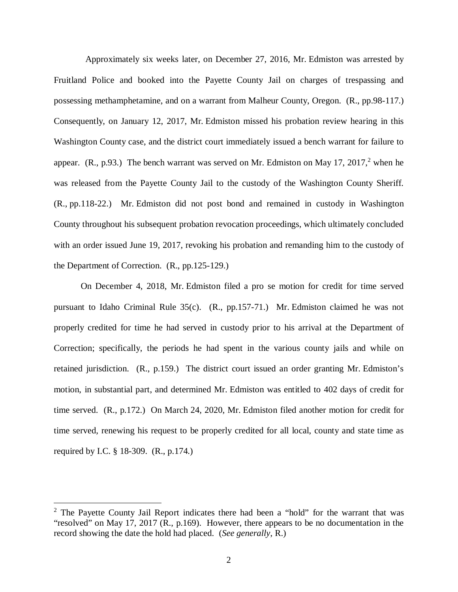Approximately six weeks later, on December 27, 2016, Mr. Edmiston was arrested by Fruitland Police and booked into the Payette County Jail on charges of trespassing and possessing methamphetamine, and on a warrant from Malheur County, Oregon. (R., pp.98-117.) Consequently, on January 12, 2017, Mr. Edmiston missed his probation review hearing in this Washington County case, and the district court immediately issued a bench warrant for failure to appear.  $(R., p.93.)$  The bench warrant was served on Mr. Edmiston on May 17, [2](#page-5-0)017,<sup>2</sup> when he was released from the Payette County Jail to the custody of the Washington County Sheriff. (R., pp.118-22.) Mr. Edmiston did not post bond and remained in custody in Washington County throughout his subsequent probation revocation proceedings, which ultimately concluded with an order issued June 19, 2017, revoking his probation and remanding him to the custody of the Department of Correction. (R., pp.125-129.)

On December 4, 2018, Mr. Edmiston filed a pro se motion for credit for time served pursuant to Idaho Criminal Rule 35(c). (R., pp.157-71.) Mr. Edmiston claimed he was not properly credited for time he had served in custody prior to his arrival at the Department of Correction; specifically, the periods he had spent in the various county jails and while on retained jurisdiction. (R., p.159.) The district court issued an order granting Mr. Edmiston's motion, in substantial part, and determined Mr. Edmiston was entitled to 402 days of credit for time served. (R., p.172.) On March 24, 2020, Mr. Edmiston filed another motion for credit for time served, renewing his request to be properly credited for all local, county and state time as required by I.C. § 18-309. (R., p.174.)

<span id="page-5-0"></span> $2$  The Payette County Jail Report indicates there had been a "hold" for the warrant that was "resolved" on May 17, 2017 (R., p.169). However, there appears to be no documentation in the record showing the date the hold had placed. (*See generally*, R.)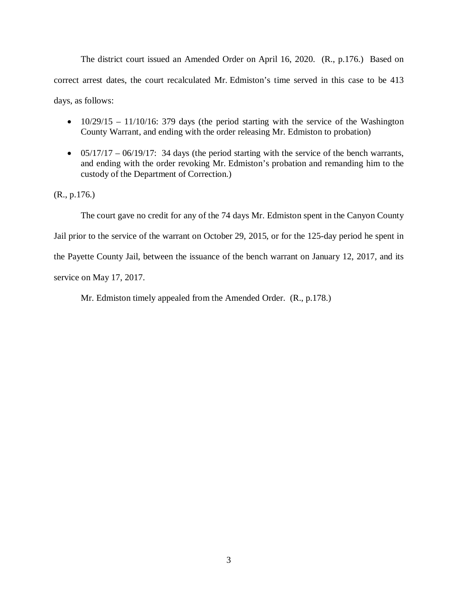The district court issued an Amended Order on April 16, 2020. (R., p.176.) Based on correct arrest dates, the court recalculated Mr. Edmiston's time served in this case to be 413 days, as follows:

- $10/29/15 11/10/16$ : 379 days (the period starting with the service of the Washington County Warrant, and ending with the order releasing Mr. Edmiston to probation)
- $05/17/17 06/19/17$ : 34 days (the period starting with the service of the bench warrants, and ending with the order revoking Mr. Edmiston's probation and remanding him to the custody of the Department of Correction.)

(R., p.176.)

The court gave no credit for any of the 74 days Mr. Edmiston spent in the Canyon County Jail prior to the service of the warrant on October 29, 2015, or for the 125-day period he spent in the Payette County Jail, between the issuance of the bench warrant on January 12, 2017, and its service on May 17, 2017.

Mr. Edmiston timely appealed from the Amended Order. (R., p.178.)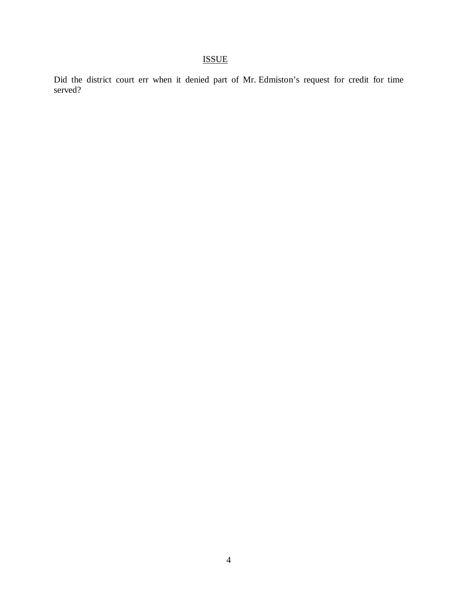# ISSUE

Did the district court err when it denied part of Mr. Edmiston's request for credit for time served?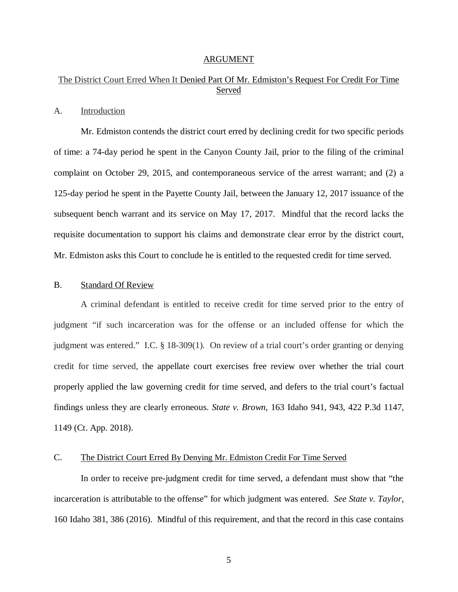#### ARGUMENT

# The District Court Erred When It Denied Part Of Mr. Edmiston's Request For Credit For Time Served

#### A. Introduction

Mr. Edmiston contends the district court erred by declining credit for two specific periods of time: a 74-day period he spent in the Canyon County Jail, prior to the filing of the criminal complaint on October 29, 2015, and contemporaneous service of the arrest warrant; and (2) a 125-day period he spent in the Payette County Jail, between the January 12, 2017 issuance of the subsequent bench warrant and its service on May 17, 2017. Mindful that the record lacks the requisite documentation to support his claims and demonstrate clear error by the district court, Mr. Edmiston asks this Court to conclude he is entitled to the requested credit for time served.

#### B. Standard Of Review

A criminal defendant is entitled to receive credit for time served prior to the entry of judgment "if such incarceration was for the offense or an included offense for which the judgment was entered." I.C. § 18-309(1). On review of a trial court's order granting or denying credit for time served, the appellate court exercises free review over whether the trial court properly applied the law governing credit for time served, and defers to the trial court's factual findings unless they are clearly erroneous. *State v. Brown*, 163 Idaho 941, 943, 422 P.3d 1147, 1149 (Ct. App. 2018).

## C. The District Court Erred By Denying Mr. Edmiston Credit For Time Served

In order to receive pre-judgment credit for time served, a defendant must show that "the incarceration is attributable to the offense" for which judgment was entered. *See State v. Taylor*, 160 Idaho 381, 386 (2016). Mindful of this requirement, and that the record in this case contains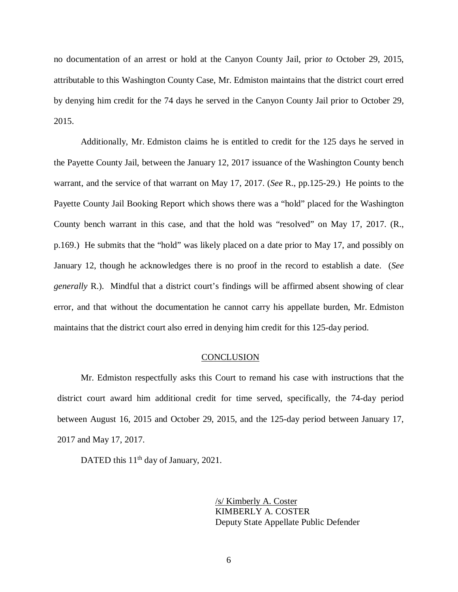no documentation of an arrest or hold at the Canyon County Jail, prior *to* October 29, 2015, attributable to this Washington County Case, Mr. Edmiston maintains that the district court erred by denying him credit for the 74 days he served in the Canyon County Jail prior to October 29, 2015.

Additionally, Mr. Edmiston claims he is entitled to credit for the 125 days he served in the Payette County Jail, between the January 12, 2017 issuance of the Washington County bench warrant, and the service of that warrant on May 17, 2017. (*See* R., pp.125-29.) He points to the Payette County Jail Booking Report which shows there was a "hold" placed for the Washington County bench warrant in this case, and that the hold was "resolved" on May 17, 2017. (R., p.169.) He submits that the "hold" was likely placed on a date prior to May 17, and possibly on January 12, though he acknowledges there is no proof in the record to establish a date. (*See generally* R.). Mindful that a district court's findings will be affirmed absent showing of clear error, and that without the documentation he cannot carry his appellate burden, Mr. Edmiston maintains that the district court also erred in denying him credit for this 125-day period.

#### **CONCLUSION**

Mr. Edmiston respectfully asks this Court to remand his case with instructions that the district court award him additional credit for time served, specifically, the 74-day period between August 16, 2015 and October 29, 2015, and the 125-day period between January 17, 2017 and May 17, 2017.

DATED this 11<sup>th</sup> day of January, 2021.

/s/ Kimberly A. Coster KIMBERLY A. COSTER Deputy State Appellate Public Defender